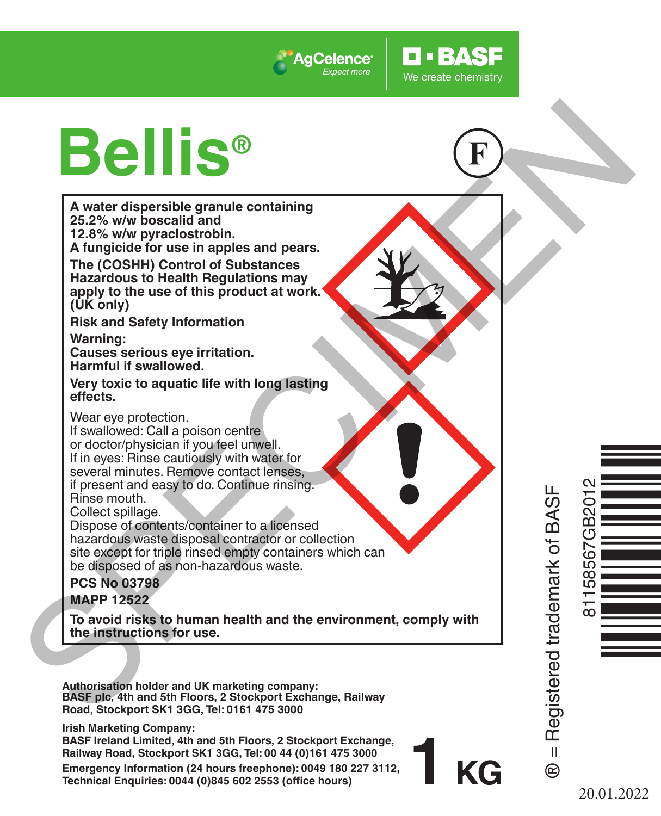

# **Bellis®**

**Technical Enquiries: 0044 (0)845 602 2553 (office hours)**

**Example 1998**<br>
A water dispersible granule containing<br>
A water dispersible granule containing<br>
A function of the control of substances<br>
The (COSHH) Control of Substances<br>
The (COSHH) Control of Substances<br>
The control of **A water dispersible granule containing 25.2% w/w boscalid and 12.8% w/w pyraclostrobin. A fungicide for use in apples and pears. The (COSHH) Control of Substances Hazardous to Health Regulations may apply to the use of this product at work. (UK only) Risk and Safety Information Warning: Causes serious eye irritation. Harmful if swallowed. Very toxic to aquatic life with long lasting effects.** Wear eye protection. If swallowed: Call a poison centre or doctor/physician if you feel unwell. Ò<br>Uccident de la contradición<br>Uccident de la contradición If in eyes: Rinse cautiously with water for several minutes. Remove contact lenses, if present and easy to do. Continue rinsing. 81158567GB2012 ® = Registered trademark of BASF Rinse mouth. Collect spillage Dispose of contents/container to a licensed hazardous waste disposal contractor or collection site except for triple rinsed empty containers which can be disposed of as non-hazardous waste. **PCS No 03798 MAPP 12522 To avoid risks to human health and the environment, comply with the instructions for use. Authorisation holder and UK marketing company: BASF plc, 4th and 5th Floors, 2 Stockport Exchange, Railway Road, Stockport SK1 3GG, Tel: 0161 475 3000 Irish Marketing Company: BASF Ireland Limited, 4th and 5th Floors, 2 Stockport Exchange, Railway Road, Stockport SK1 3GG, Tel: 00 44 (0)161 475 3000 1 KG**  $\mathbf{u}$ **Emergency Information (24 hours freephone): 0049 180 227 3112,**   $^{\circ}$ 

20.01.2022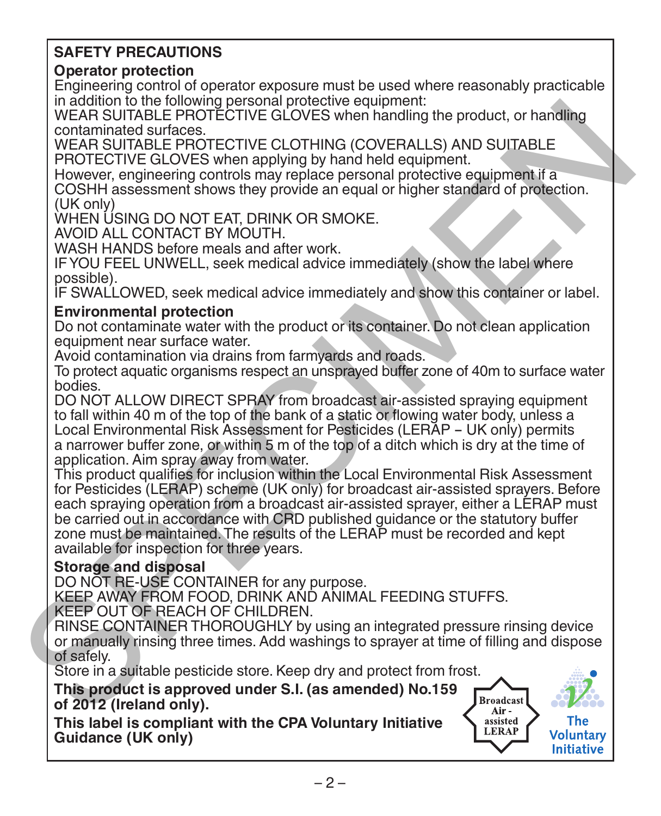# **SAFETY PRECAUTIONS**

# **Operator protection**

Engineering control of operator exposure must be used where reasonably practicable in addition to the following personal protective equipment:

WEAR SUITABLE PROTECTIVE GLOVES when handling the product, or handling contaminated surfaces.

WEAR SUITABLE PROTECTIVE CLOTHING (COVERALLS) AND SUITABLE PROTECTIVE GLOVES when applying by hand held equipment.

However, engineering controls may replace personal protective equipment if a COSHH assessment shows they provide an equal or higher standard of protection.  $(11K$  only)

WHEN USING DO NOT EAT, DRINK OR SMOKE

AVOID ALL CONTACT BY MOUTH.

WASH HANDS before meals and after work.

IF YOU FEEL UNWELL, seek medical advice immediately (show the label where possible).

IF SWALLOWED, seek medical advice immediately and show this container or label.

## **Environmental protection**

Do not contaminate water with the product or its container. Do not clean application equipment near surface water.

Avoid contamination via drains from farmyards and roads.

To protect aquatic organisms respect an unsprayed buffer zone of 40m to surface water bodies.

DO NOT ALLOW DIRECT SPRAY from broadcast air-assisted spraying equipment to fall within 40 m of the top of the bank of a static or flowing water body, unless a Local Environmental Risk Assessment for Pesticides (LERAP - UK only) permits a narrower buffer zone, or within 5 m of the top of a ditch which is dry at the time of application. Aim spray away from water.

This product qualifies for inclusion within the Local Environmental Risk Assessment for Pesticides (LERAP) scheme (UK only) for broadcast air-assisted sprayers. Before each spraying operation from a broadcast air-assisted sprayer, either a LERAP must be carried out in accordance with CRD published guidance or the statutory buffer zone must be maintained. The results of the LERAP must be recorded and kept available for inspection for three years. In additional procedure and procedure equipment.<br>
WEAR SUITABLE PROTECTIVE GLOVES when handling the product, or handling<br>
WEAR SUITABLE PROTECTIVE GLOVES when applying by hard held equipment. If<br>  $\sim$  PROTECTIVE GLOVES whe

# **Storage and disposal**

DO NOT RE-USE CONTAINER for any purpose.

KEEP AWAY FROM FOOD, DRINK AND ANIMAL FEEDING STUFFS. KEEP OUT OF REACH OF CHILDREN.

RINSE CONTAINER THOROUGHLY by using an integrated pressure rinsing device or manually rinsing three times. Add washings to sprayer at time of filling and dispose of safely.

Store in a suitable pesticide store. Keep dry and protect from frost.

**This product is approved under S.I. (as amended) No.159 of 2012 (Ireland only).**

**This label is compliant with the CPA Voluntary Initiative Guidance (UK only)**

LERAP

Voluntary Initiative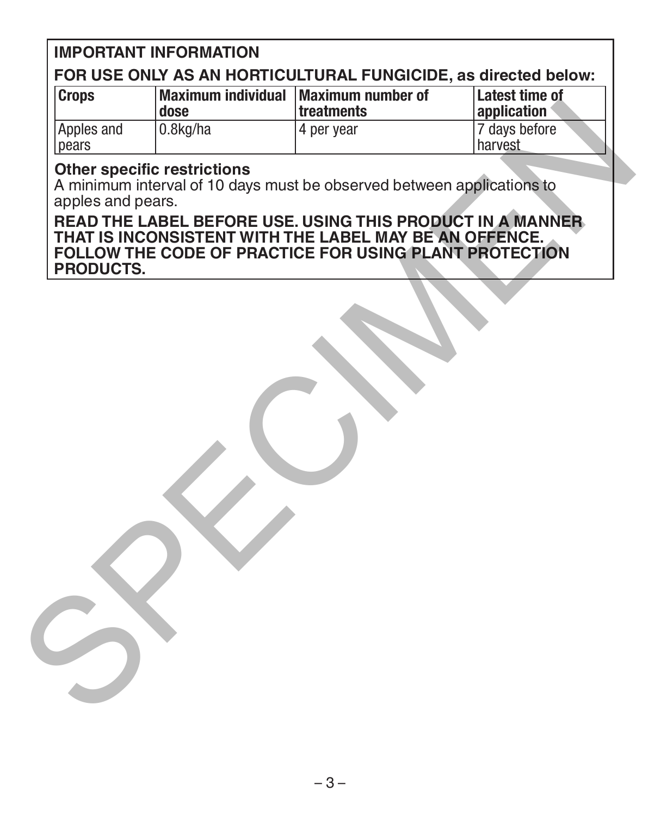# **IMPORTANT INFORMATION**

# **FOR USE ONLY AS AN HORTICULTURAL FUNGICIDE, as directed below:**

| <b>Crops</b>        | Maximum individual Maximum number of<br>dose | treatments | Latest time of<br>application |
|---------------------|----------------------------------------------|------------|-------------------------------|
| Apples and<br>pears | 0.8kg/ha                                     | 4 per year | 7 days before<br>l harvest    |

#### **Other specific restrictions**

A minimum interval of 10 days must be observed between applications to apples and pears.

**READ THE LABEL BEFORE USE. USING THIS PRODUCT IN A MANNER THAT IS INCONSISTENT WITH THE LABEL MAY BE AN OFFENCE. FOLLOW THE CODE OF PRACTICE FOR USING PLANT PROTECTION PRODUCTS.** The and C.Skg/ha Tealments<br>
Apples and C.Skg/ha Team Team of the Construction<br>
A Conservation of the Conservation of the Conservation of the READ THE LABEL BEFORE USE. USING THIS PRODUCT IN A MANNER<br>
THAT IS INCONSISTENT W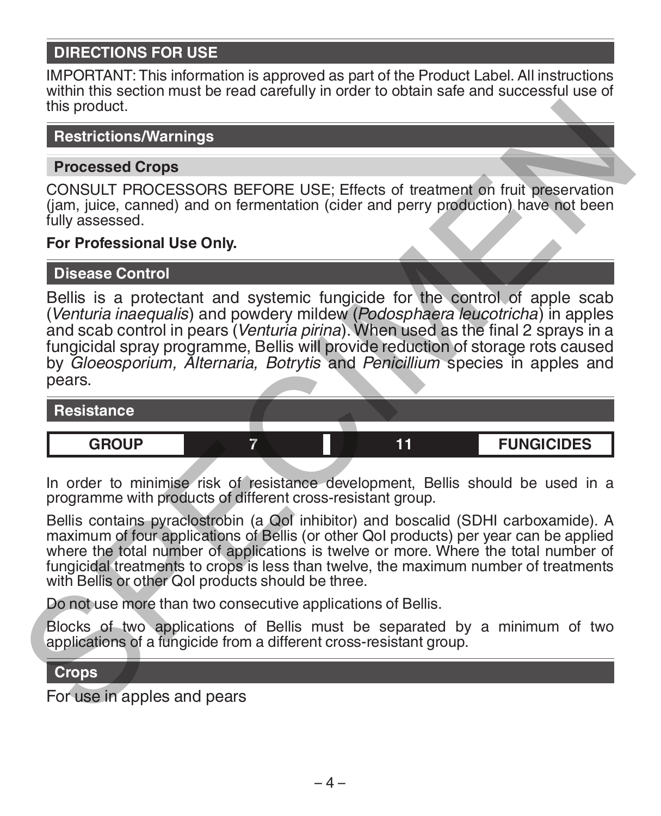# **DIRECTIONS FOR USE**

IMPORTANT: This information is approved as part of the Product Label. All instructions within this section must be read carefully in order to obtain safe and successful use of this product.

## **Restrictions/Warnings**

#### **Processed Crops**

CONSULT PROCESSORS BEFORE USE; Effects of treatment on fruit preservation (jam, juice, canned) and on fermentation (cider and perry production) have not been fully assessed.

## **For Professional Use Only.**

#### **Disease Control**

Bellis is a protectant and systemic fungicide for the control of apple scab (*Venturia inaequalis*) and powdery mildew (*Podosphaera leucotricha*) in apples and scab control in pears (*Venturia pirina*). When used as the final 2 sprays in a fungicidal spray programme, Bellis will provide reduction of storage rots caused by *Gloeosporium, Alternaria, Botrytis* and *Penicillium* species in apples and pears this product.<br> **Processed Crops**<br> **Processed Crops**<br> **Processed Crops**<br> **Processed Crops**<br>
CONSULT PROCESSORS BEFORE USE; Effects of treatment on fruit preservation<br>
(am, julie is a protectant and systemic fungicide for th

**Resistance GROUP 7 11 FUNGICIDES**

In order to minimise risk of resistance development, Bellis should be used in a programme with products of different cross-resistant group.

Bellis contains pyraclostrobin (a QoI inhibitor) and boscalid (SDHI carboxamide). A maximum of four applications of Bellis (or other QoI products) per year can be applied where the total number of applications is twelve or more. Where the total number of fungicidal treatments to crops is less than twelve, the maximum number of treatments with Bellis or other QoI products should be three.

Do not use more than two consecutive applications of Bellis.

Blocks of two applications of Bellis must be separated by a minimum of two applications of a fungicide from a different cross-resistant group.

## **Crops**

For use in apples and pears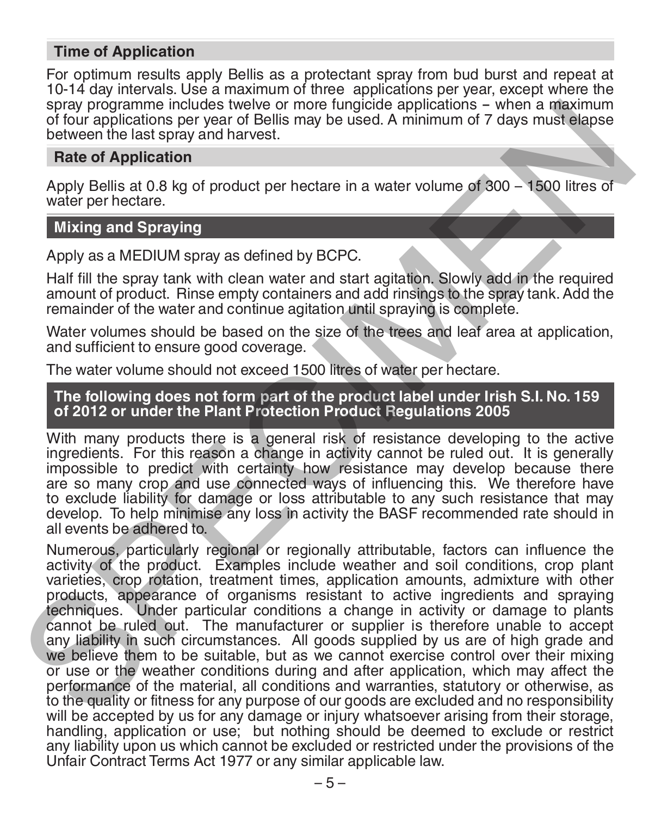#### **Time of Application**

For optimum results apply Bellis as a protectant spray from bud burst and repeat at 10-14 day intervals. Use a maximum of three applications per year, except where the spray programme includes twelve or more fungicide applications - when a maximum of four applications per year of Bellis may be used. A minimum of 7 days must elapse between the last spray and harvest.

# **Rate of Application**

Apply Bellis at 0.8 kg of product per hectare in a water volume of 300 – 1500 litres of water per hectare.

# **Mixing and Spraying**

Apply as a MEDIUM spray as defined by BCPC.

Half fill the spray tank with clean water and start agitation. Slowly add in the required amount of product. Rinse empty containers and add rinsings to the spray tank. Add the remainder of the water and continue agitation until spraying is complete.

Water volumes should be based on the size of the trees and leaf area at application. and sufficient to ensure good coverage.

The water volume should not exceed 1500 litres of water per hectare.

## **The following does not form part of the product label under Irish S.I. No. 159 of 2012 or under the Plant Protection Product Regulations 2005**

With many products there is a general risk of resistance developing to the active ingredients. For this reason a change in activity cannot be ruled out. It is generally impossible to predict with certainty how resistance may develop because there are so many crop and use connected ways of influencing this. We therefore have to exclude liability for damage or loss attributable to any such resistance that may develop. To help minimise any loss in activity the BASF recommended rate should in all events be adhered to.

Numerous, particularly regional or regionally attributable, factors can influence the activity of the product. Examples include weather and soil conditions, crop plant varieties, crop rotation, treatment times, application amounts, admixture with other products, appearance of organisms resistant to active ingredients and spraying techniques. Under particular conditions a change in activity or damage to plants cannot be ruled out. The manufacturer or supplier is therefore unable to accept any liability in such circumstances. All goods supplied by us are of high grade and we believe them to be suitable, but as we cannot exercise control over their mixing or use or the weather conditions during and after application, which may affect the performance of the material, all conditions and warranties, statutory or otherwise, as to the quality or fitness for any purpose of our goods are excluded and no responsibility will be accepted by us for any damage or injury whatsoever arising from their storage, handling, application or use; but nothing should be deemed to exclude or restrict any liability upon us which cannot be excluded or restricted under the provisions of the Unfair Contract Terms Act 1977 or any similar applicable law. spay programme includes twelve or more functions a when a maximum of<br>blour applications per year of Bellis may be used. A minimum of 7 days must elapse<br>between the last spay and alavest.<br> **Rate of Application**<br> **Rate of Ap**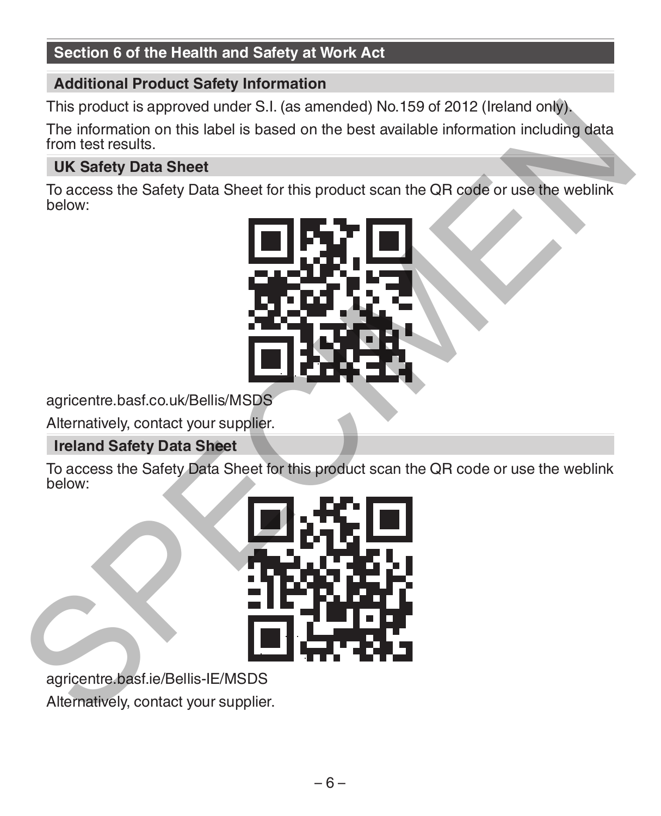# **Section 6 of the Health and Safety at Work Act**

## **Additional Product Safety Information**

This product is approved under S.I. (as amended) No.159 of 2012 (Ireland only).

The information on this label is based on the best available information including data from test results.

## **UK Safety Data Sheet**

To access the Safety Data Sheet for this product scan the QR code or use the weblink below:



agricentre.basf.co.uk/Bellis/MSDS

Alternatively, contact your supplier.

## **Ireland Safety Data Sheet**

To access the Safety Data Sheet for this product scan the QR code or use the weblink below:



agricentre.basf.ie/Bellis-IE/MSDS Alternatively, contact your supplier.